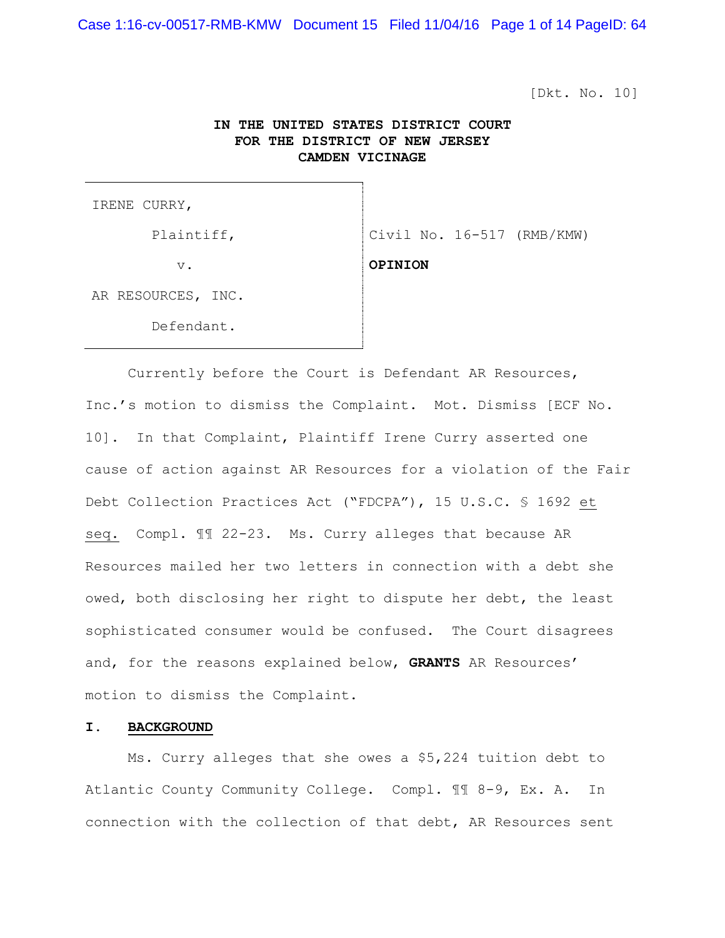Case 1:16-cv-00517-RMB-KMW Document 15 Filed 11/04/16 Page 1 of 14 PageID: 64

[Dkt. No. 10]

# **IN THE UNITED STATES DISTRICT COURT FOR THE DISTRICT OF NEW JERSEY CAMDEN VICINAGE**

IRENE CURRY,

v. **OPINION**

Plaintiff,  $\vert$  Civil No. 16-517 (RMB/KMW)

AR RESOURCES, INC.

Defendant.

 Currently before the Court is Defendant AR Resources, Inc.'s motion to dismiss the Complaint. Mot. Dismiss [ECF No. 10]. In that Complaint, Plaintiff Irene Curry asserted one cause of action against AR Resources for a violation of the Fair Debt Collection Practices Act ("FDCPA"), 15 U.S.C. § 1692 et seq. Compl. ¶¶ 22-23. Ms. Curry alleges that because AR Resources mailed her two letters in connection with a debt she owed, both disclosing her right to dispute her debt, the least sophisticated consumer would be confused. The Court disagrees and, for the reasons explained below, **GRANTS** AR Resources' motion to dismiss the Complaint.

## **I. BACKGROUND**

 Ms. Curry alleges that she owes a \$5,224 tuition debt to Atlantic County Community College. Compl. ¶¶ 8-9, Ex. A. In connection with the collection of that debt, AR Resources sent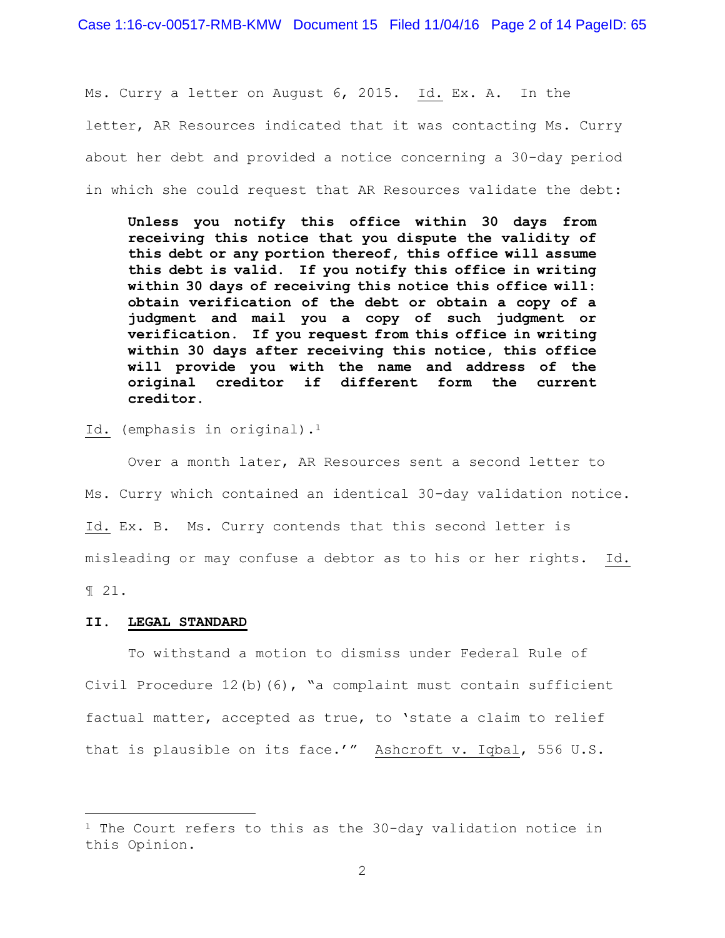Case 1:16-cv-00517-RMB-KMW Document 15 Filed 11/04/16 Page 2 of 14 PageID: 65

Ms. Curry a letter on August 6, 2015. Id. Ex. A. In the letter, AR Resources indicated that it was contacting Ms. Curry about her debt and provided a notice concerning a 30-day period in which she could request that AR Resources validate the debt:

**Unless you notify this office within 30 days from receiving this notice that you dispute the validity of this debt or any portion thereof, this office will assume this debt is valid. If you notify this office in writing within 30 days of receiving this notice this office will: obtain verification of the debt or obtain a copy of a judgment and mail you a copy of such judgment or verification. If you request from this office in writing within 30 days after receiving this notice, this office will provide you with the name and address of the original creditor if different form the current creditor.** 

Id. (emphasis in original).<sup>1</sup>

 Over a month later, AR Resources sent a second letter to Ms. Curry which contained an identical 30-day validation notice. Id. Ex. B. Ms. Curry contends that this second letter is misleading or may confuse a debtor as to his or her rights. Id. ¶ 21.

#### **II. LEGAL STANDARD**

a<br>B

 To withstand a motion to dismiss under Federal Rule of Civil Procedure  $12(b)(6)$ , "a complaint must contain sufficient factual matter, accepted as true, to 'state a claim to relief that is plausible on its face.'" Ashcroft v. Iqbal, 556 U.S.

 $1$  The Court refers to this as the 30-day validation notice in this Opinion.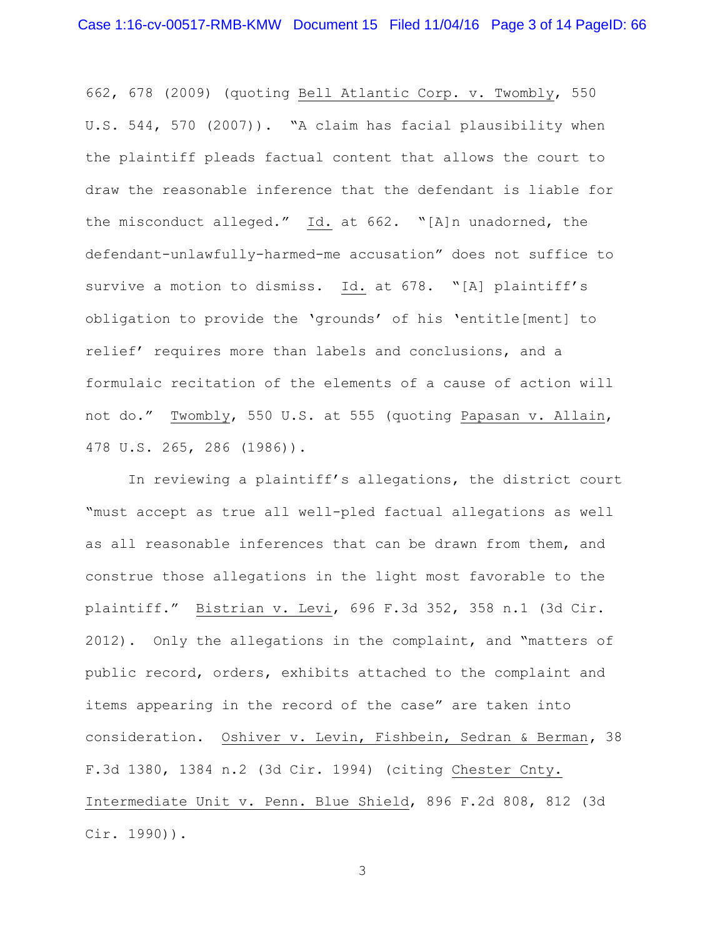662, 678 (2009) (quoting Bell Atlantic Corp. v. Twombly, 550 U.S. 544, 570 (2007)). "A claim has facial plausibility when the plaintiff pleads factual content that allows the court to draw the reasonable inference that the defendant is liable for the misconduct alleged." Id. at 662. "[A]n unadorned, the defendant-unlawfully-harmed-me accusation" does not suffice to survive a motion to dismiss. Id. at 678. "[A] plaintiff's obligation to provide the 'grounds' of his 'entitle[ment] to relief' requires more than labels and conclusions, and a formulaic recitation of the elements of a cause of action will not do." Twombly, 550 U.S. at 555 (quoting Papasan v. Allain, 478 U.S. 265, 286 (1986)).

In reviewing a plaintiff's allegations, the district court "must accept as true all well-pled factual allegations as well as all reasonable inferences that can be drawn from them, and construe those allegations in the light most favorable to the plaintiff." Bistrian v. Levi, 696 F.3d 352, 358 n.1 (3d Cir. 2012). Only the allegations in the complaint, and "matters of public record, orders, exhibits attached to the complaint and items appearing in the record of the case" are taken into consideration. Oshiver v. Levin, Fishbein, Sedran & Berman**,** 38 F.3d 1380, 1384 n.2 (3d Cir. 1994) (citing Chester Cnty. Intermediate Unit v. Penn. Blue Shield, 896 F.2d 808, 812 (3d Cir. 1990)).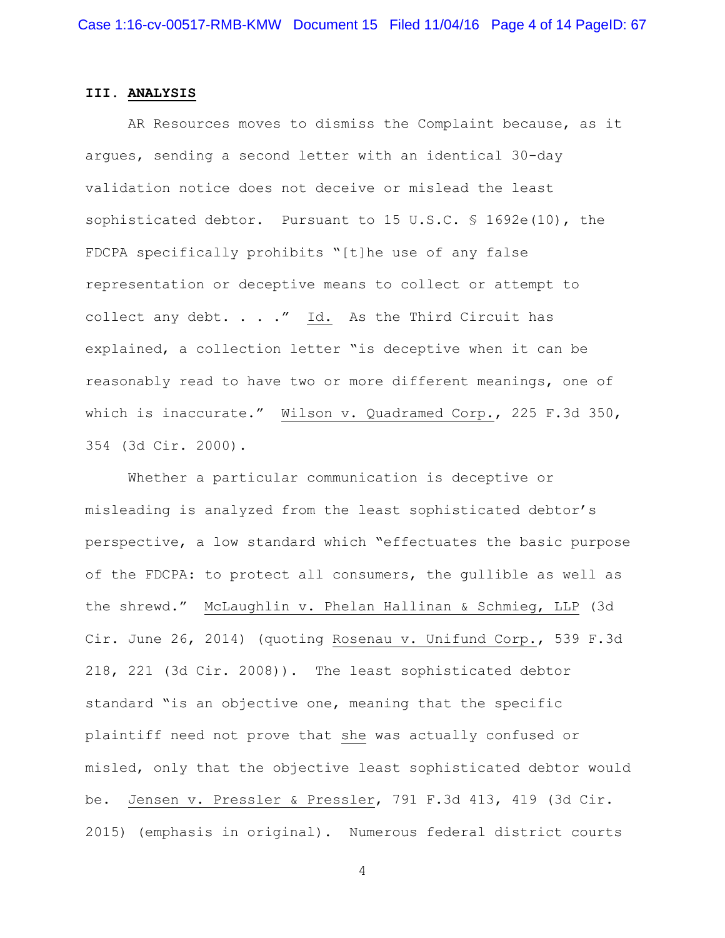# **III. ANALYSIS**

 AR Resources moves to dismiss the Complaint because, as it argues, sending a second letter with an identical 30-day validation notice does not deceive or mislead the least sophisticated debtor. Pursuant to 15 U.S.C. § 1692e(10), the FDCPA specifically prohibits "[t]he use of any false representation or deceptive means to collect or attempt to collect any debt. . . ." Id. As the Third Circuit has explained, a collection letter "is deceptive when it can be reasonably read to have two or more different meanings, one of which is inaccurate." Wilson v. Quadramed Corp., 225 F.3d 350, 354 (3d Cir. 2000).

 Whether a particular communication is deceptive or misleading is analyzed from the least sophisticated debtor's perspective, a low standard which "effectuates the basic purpose of the FDCPA: to protect all consumers, the gullible as well as the shrewd." McLaughlin v. Phelan Hallinan & Schmieg, LLP (3d Cir. June 26, 2014) (quoting Rosenau v. Unifund Corp., 539 F.3d 218, 221 (3d Cir. 2008)). The least sophisticated debtor standard "is an objective one, meaning that the specific plaintiff need not prove that she was actually confused or misled, only that the objective least sophisticated debtor would be. Jensen v. Pressler & Pressler, 791 F.3d 413, 419 (3d Cir. 2015) (emphasis in original). Numerous federal district courts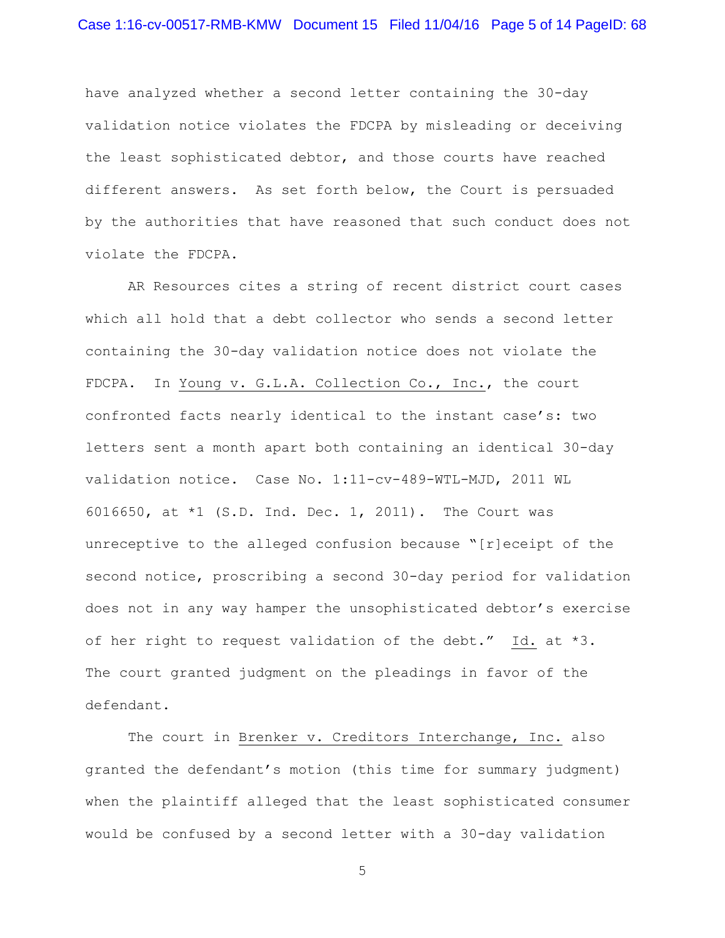have analyzed whether a second letter containing the 30-day validation notice violates the FDCPA by misleading or deceiving the least sophisticated debtor, and those courts have reached different answers. As set forth below, the Court is persuaded by the authorities that have reasoned that such conduct does not violate the FDCPA.

 AR Resources cites a string of recent district court cases which all hold that a debt collector who sends a second letter containing the 30-day validation notice does not violate the FDCPA. In Young v. G.L.A. Collection Co., Inc., the court confronted facts nearly identical to the instant case's: two letters sent a month apart both containing an identical 30-day validation notice. Case No. 1:11-cv-489-WTL-MJD, 2011 WL 6016650, at \*1 (S.D. Ind. Dec. 1, 2011). The Court was unreceptive to the alleged confusion because "[r]eceipt of the second notice, proscribing a second 30-day period for validation does not in any way hamper the unsophisticated debtor's exercise of her right to request validation of the debt." Id. at \*3. The court granted judgment on the pleadings in favor of the defendant.

The court in Brenker v. Creditors Interchange, Inc. also granted the defendant's motion (this time for summary judgment) when the plaintiff alleged that the least sophisticated consumer would be confused by a second letter with a 30-day validation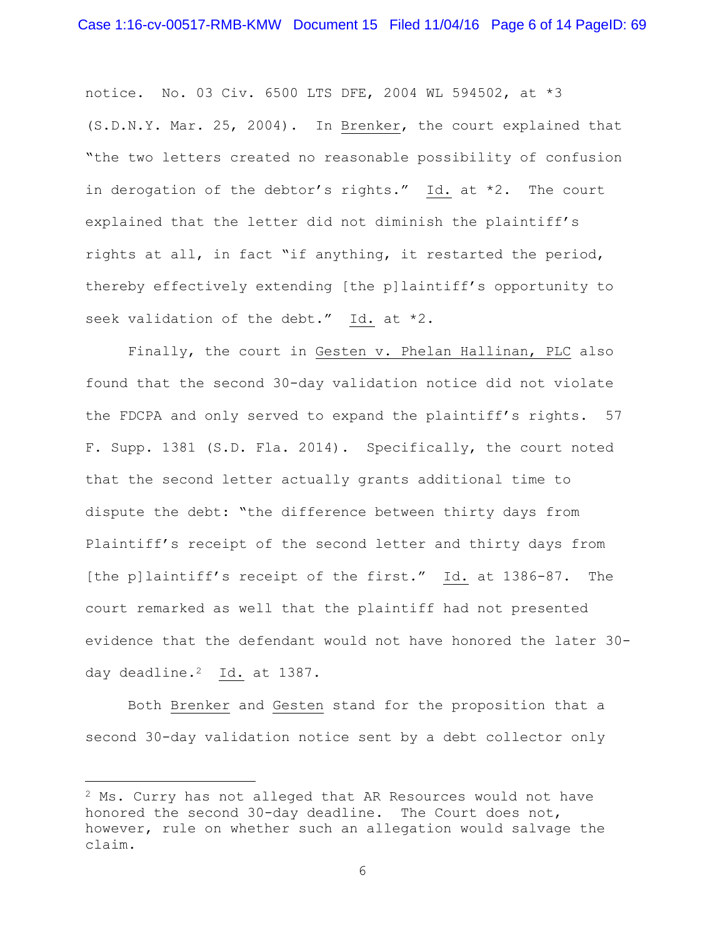notice. No. 03 Civ. 6500 LTS DFE, 2004 WL 594502, at \*3 (S.D.N.Y. Mar. 25, 2004). In Brenker, the court explained that "the two letters created no reasonable possibility of confusion in derogation of the debtor's rights." Id. at \*2. The court explained that the letter did not diminish the plaintiff's rights at all, in fact "if anything, it restarted the period, thereby effectively extending [the p]laintiff's opportunity to seek validation of the debt." Id. at \*2.

 Finally, the court in Gesten v. Phelan Hallinan, PLC also found that the second 30-day validation notice did not violate the FDCPA and only served to expand the plaintiff's rights. 57 F. Supp. 1381 (S.D. Fla. 2014). Specifically, the court noted that the second letter actually grants additional time to dispute the debt: "the difference between thirty days from Plaintiff's receipt of the second letter and thirty days from [the p]laintiff's receipt of the first." Id. at 1386-87. The court remarked as well that the plaintiff had not presented evidence that the defendant would not have honored the later 30 day deadline.<sup>2</sup> Id. at 1387.

 Both Brenker and Gesten stand for the proposition that a second 30-day validation notice sent by a debt collector only

a<br>B

 $2$  Ms. Curry has not alleged that AR Resources would not have honored the second 30-day deadline. The Court does not, however, rule on whether such an allegation would salvage the claim.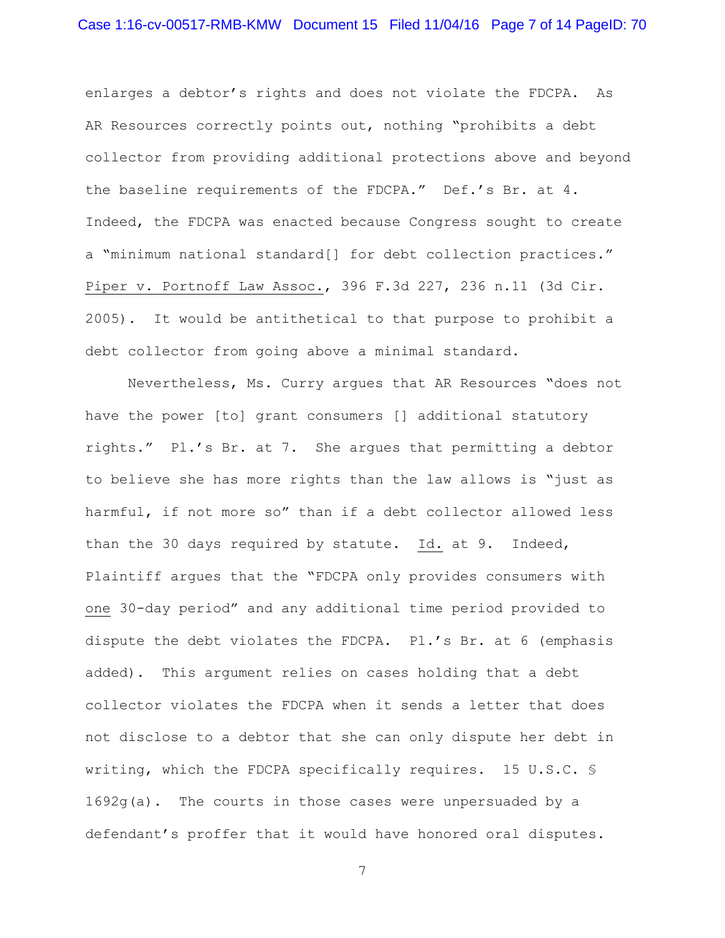enlarges a debtor's rights and does not violate the FDCPA. As AR Resources correctly points out, nothing "prohibits a debt collector from providing additional protections above and beyond the baseline requirements of the FDCPA." Def.'s Br. at 4. Indeed, the FDCPA was enacted because Congress sought to create a "minimum national standard[] for debt collection practices." Piper v. Portnoff Law Assoc., 396 F.3d 227, 236 n.11 (3d Cir. 2005). It would be antithetical to that purpose to prohibit a debt collector from going above a minimal standard.

 Nevertheless, Ms. Curry argues that AR Resources "does not have the power [to] grant consumers [] additional statutory rights." Pl.'s Br. at 7. She argues that permitting a debtor to believe she has more rights than the law allows is "just as harmful, if not more so" than if a debt collector allowed less than the 30 days required by statute. Id. at 9. Indeed, Plaintiff argues that the "FDCPA only provides consumers with one 30-day period" and any additional time period provided to dispute the debt violates the FDCPA. Pl.'s Br. at 6 (emphasis added). This argument relies on cases holding that a debt collector violates the FDCPA when it sends a letter that does not disclose to a debtor that she can only dispute her debt in writing, which the FDCPA specifically requires. 15 U.S.C. § 1692g(a). The courts in those cases were unpersuaded by a defendant's proffer that it would have honored oral disputes.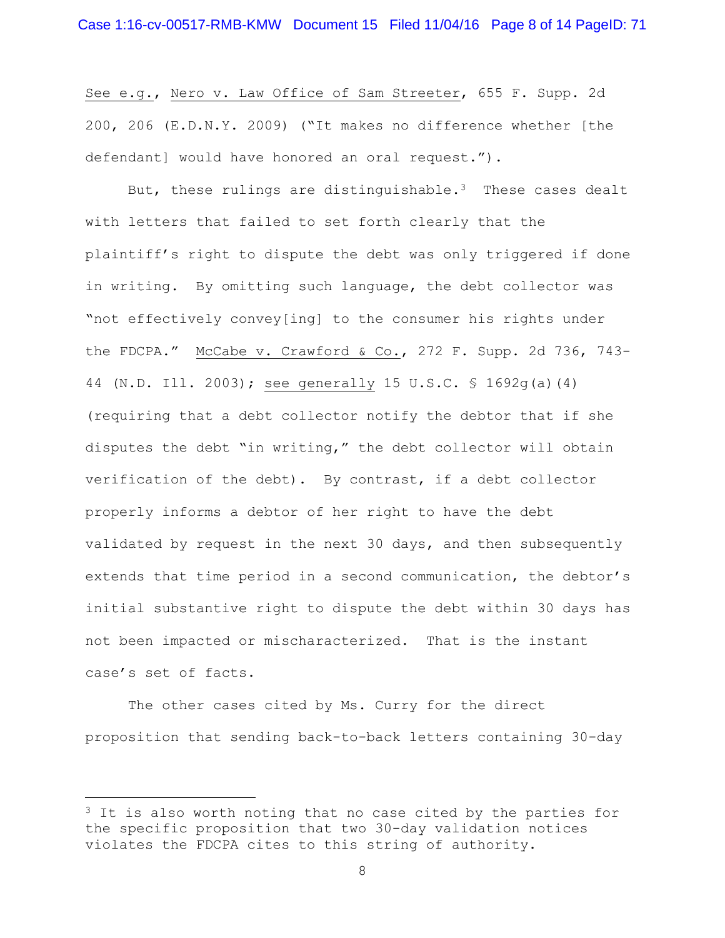See e.g., Nero v. Law Office of Sam Streeter, 655 F. Supp. 2d 200, 206 (E.D.N.Y. 2009) ("It makes no difference whether [the defendant] would have honored an oral request.").

But, these rulings are distinguishable.<sup>3</sup> These cases dealt with letters that failed to set forth clearly that the plaintiff's right to dispute the debt was only triggered if done in writing. By omitting such language, the debt collector was "not effectively convey[ing] to the consumer his rights under the FDCPA." McCabe v. Crawford & Co., 272 F. Supp. 2d 736, 743- 44 (N.D. Ill. 2003); see generally 15 U.S.C. § 1692g(a)(4) (requiring that a debt collector notify the debtor that if she disputes the debt "in writing," the debt collector will obtain verification of the debt). By contrast, if a debt collector properly informs a debtor of her right to have the debt validated by request in the next 30 days, and then subsequently extends that time period in a second communication, the debtor's initial substantive right to dispute the debt within 30 days has not been impacted or mischaracterized. That is the instant case's set of facts.

 The other cases cited by Ms. Curry for the direct proposition that sending back-to-back letters containing 30-day

a<br>B

 $3$  It is also worth noting that no case cited by the parties for the specific proposition that two 30-day validation notices violates the FDCPA cites to this string of authority.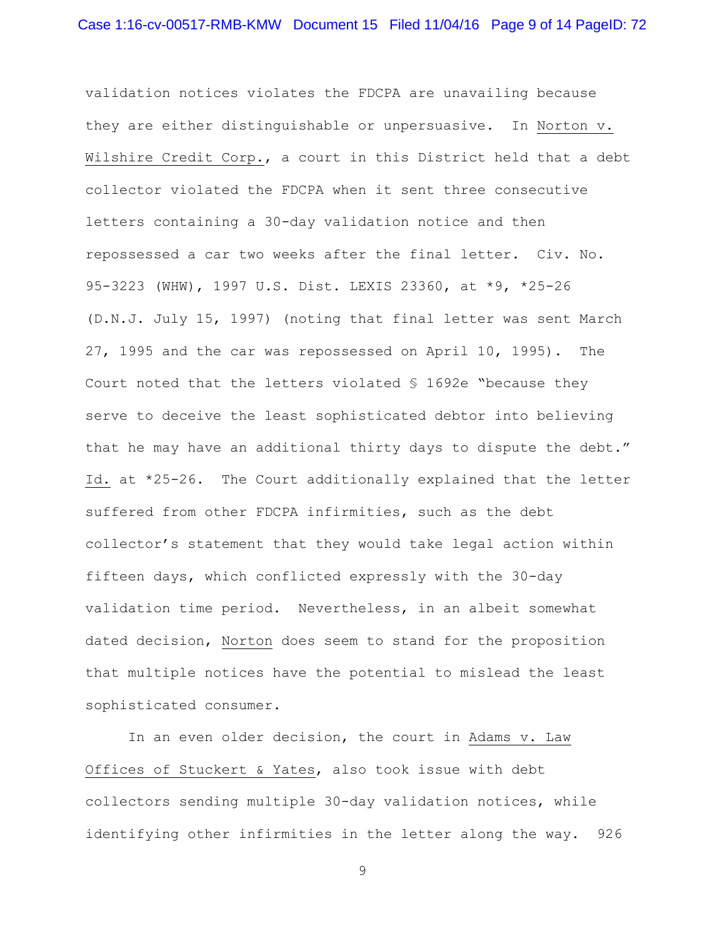validation notices violates the FDCPA are unavailing because they are either distinguishable or unpersuasive. In Norton v. Wilshire Credit Corp., a court in this District held that a debt collector violated the FDCPA when it sent three consecutive letters containing a 30-day validation notice and then repossessed a car two weeks after the final letter. Civ. No. 95-3223 (WHW), 1997 U.S. Dist. LEXIS 23360, at \*9, \*25-26 (D.N.J. July 15, 1997) (noting that final letter was sent March 27, 1995 and the car was repossessed on April 10, 1995). The Court noted that the letters violated § 1692e "because they serve to deceive the least sophisticated debtor into believing that he may have an additional thirty days to dispute the debt." Id. at \*25-26. The Court additionally explained that the letter suffered from other FDCPA infirmities, such as the debt collector's statement that they would take legal action within fifteen days, which conflicted expressly with the 30-day validation time period. Nevertheless, in an albeit somewhat dated decision, Norton does seem to stand for the proposition that multiple notices have the potential to mislead the least sophisticated consumer.

 In an even older decision, the court in Adams v. Law Offices of Stuckert & Yates, also took issue with debt collectors sending multiple 30-day validation notices, while identifying other infirmities in the letter along the way. 926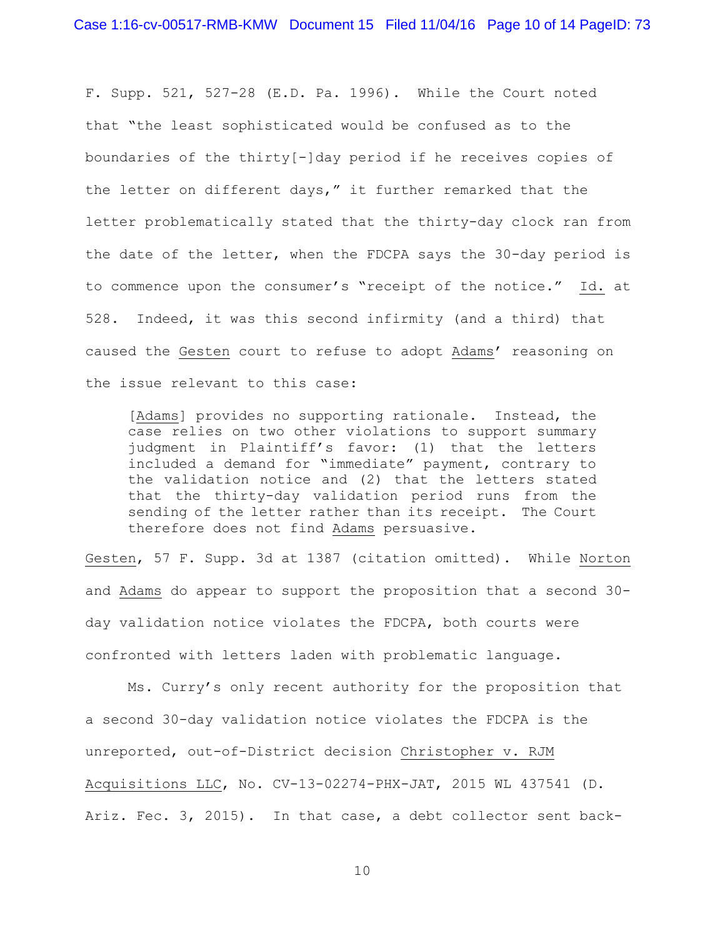F. Supp. 521, 527-28 (E.D. Pa. 1996). While the Court noted that "the least sophisticated would be confused as to the boundaries of the thirty[-]day period if he receives copies of the letter on different days," it further remarked that the letter problematically stated that the thirty-day clock ran from the date of the letter, when the FDCPA says the 30-day period is to commence upon the consumer's "receipt of the notice." Id. at 528. Indeed, it was this second infirmity (and a third) that caused the Gesten court to refuse to adopt Adams' reasoning on the issue relevant to this case:

[Adams] provides no supporting rationale. Instead, the case relies on two other violations to support summary judgment in Plaintiff's favor: (1) that the letters included a demand for "immediate" payment, contrary to the validation notice and (2) that the letters stated that the thirty-day validation period runs from the sending of the letter rather than its receipt. The Court therefore does not find Adams persuasive.

Gesten, 57 F. Supp. 3d at 1387 (citation omitted). While Norton and Adams do appear to support the proposition that a second 30 day validation notice violates the FDCPA, both courts were confronted with letters laden with problematic language.

Ms. Curry's only recent authority for the proposition that a second 30-day validation notice violates the FDCPA is the unreported, out-of-District decision Christopher v. RJM Acquisitions LLC, No. CV-13-02274-PHX-JAT, 2015 WL 437541 (D. Ariz. Fec. 3, 2015). In that case, a debt collector sent back-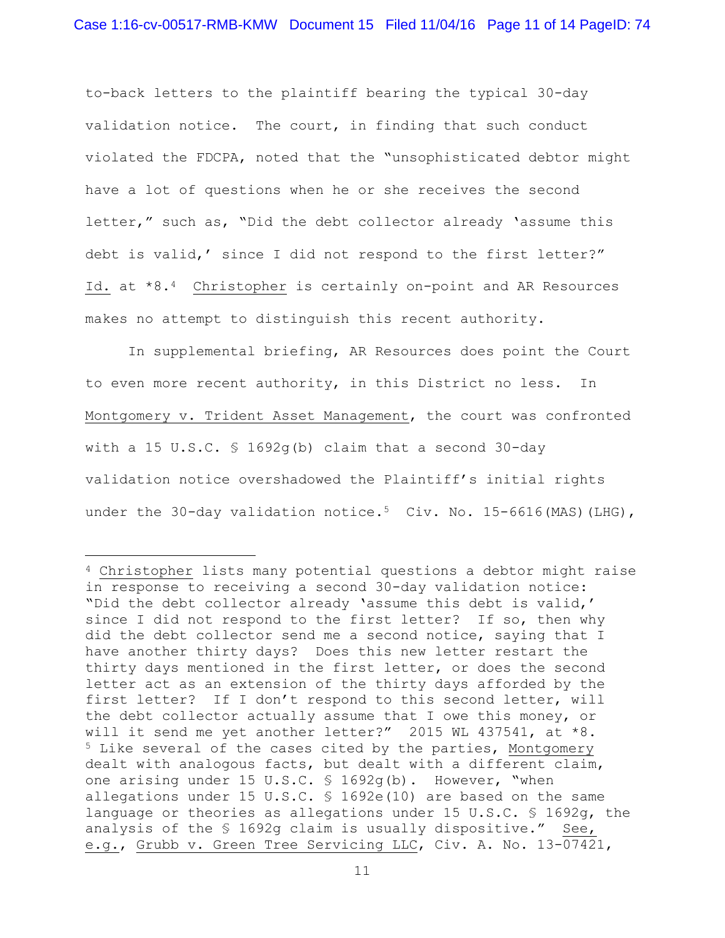to-back letters to the plaintiff bearing the typical 30-day validation notice. The court, in finding that such conduct violated the FDCPA, noted that the "unsophisticated debtor might have a lot of questions when he or she receives the second letter," such as, "Did the debt collector already 'assume this debt is valid,' since I did not respond to the first letter?" Id. at \*8.4 Christopher is certainly on-point and AR Resources makes no attempt to distinguish this recent authority.

 In supplemental briefing, AR Resources does point the Court to even more recent authority, in this District no less. In Montgomery v. Trident Asset Management, the court was confronted with a 15 U.S.C. § 1692g(b) claim that a second 30-day validation notice overshadowed the Plaintiff's initial rights under the 30-day validation notice.<sup>5</sup> Civ. No. 15-6616(MAS)(LHG),

L,

<sup>4</sup> Christopher lists many potential questions a debtor might raise in response to receiving a second 30-day validation notice: "Did the debt collector already 'assume this debt is valid,' since I did not respond to the first letter? If so, then why did the debt collector send me a second notice, saying that I have another thirty days? Does this new letter restart the thirty days mentioned in the first letter, or does the second letter act as an extension of the thirty days afforded by the first letter? If I don't respond to this second letter, will the debt collector actually assume that I owe this money, or will it send me yet another letter?" 2015 WL 437541, at \*8. <sup>5</sup> Like several of the cases cited by the parties, Montgomery dealt with analogous facts, but dealt with a different claim, one arising under 15 U.S.C. § 1692g(b). However, "when allegations under 15 U.S.C. § 1692e(10) are based on the same language or theories as allegations under 15 U.S.C. § 1692g, the analysis of the § 1692g claim is usually dispositive." See, e.g., Grubb v. Green Tree Servicing LLC, Civ. A. No. 13-07421,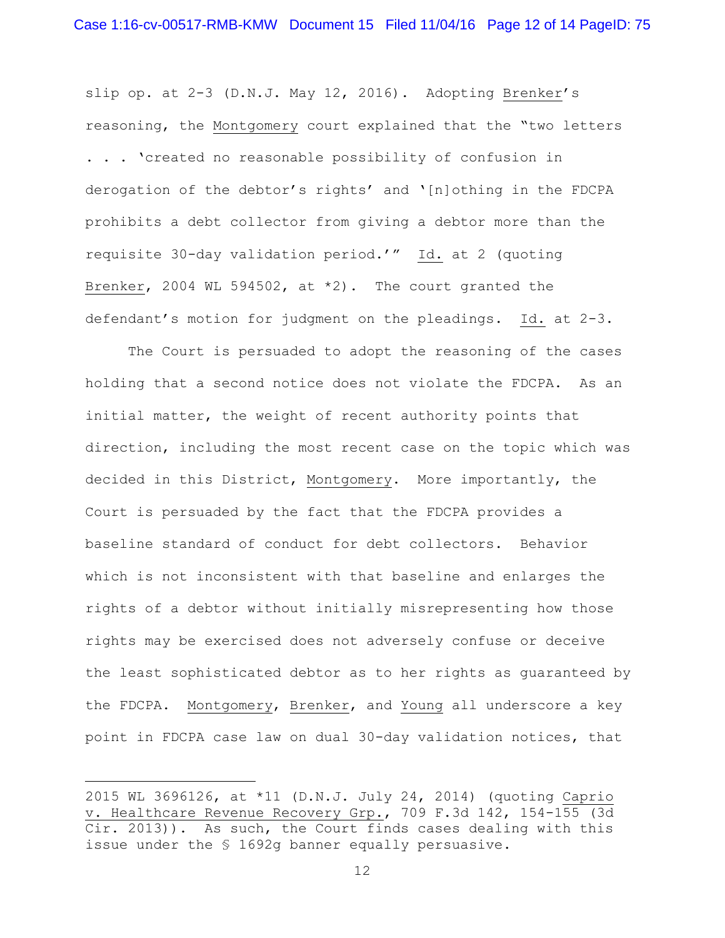slip op. at 2-3 (D.N.J. May 12, 2016). Adopting Brenker's reasoning, the Montgomery court explained that the "two letters . . . 'created no reasonable possibility of confusion in derogation of the debtor's rights' and '[n]othing in the FDCPA prohibits a debt collector from giving a debtor more than the requisite 30-day validation period.'" Id. at 2 (quoting Brenker, 2004 WL 594502, at \*2). The court granted the defendant's motion for judgment on the pleadings. Id. at 2-3.

 The Court is persuaded to adopt the reasoning of the cases holding that a second notice does not violate the FDCPA. As an initial matter, the weight of recent authority points that direction, including the most recent case on the topic which was decided in this District, Montgomery. More importantly, the Court is persuaded by the fact that the FDCPA provides a baseline standard of conduct for debt collectors. Behavior which is not inconsistent with that baseline and enlarges the rights of a debtor without initially misrepresenting how those rights may be exercised does not adversely confuse or deceive the least sophisticated debtor as to her rights as guaranteed by the FDCPA. Montgomery, Brenker, and Young all underscore a key point in FDCPA case law on dual 30-day validation notices, that

a<br>B

<sup>2015</sup> WL 3696126, at \*11 (D.N.J. July 24, 2014) (quoting Caprio v. Healthcare Revenue Recovery Grp., 709 F.3d 142, 154-155 (3d Cir. 2013)). As such, the Court finds cases dealing with this issue under the § 1692g banner equally persuasive.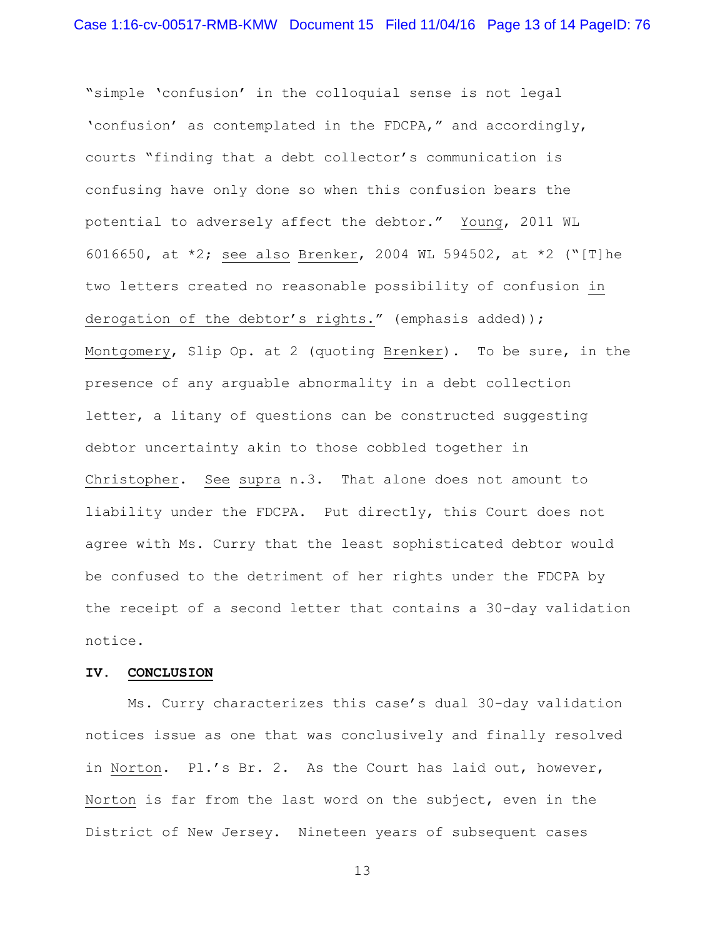"simple 'confusion' in the colloquial sense is not legal 'confusion' as contemplated in the FDCPA," and accordingly, courts "finding that a debt collector's communication is confusing have only done so when this confusion bears the potential to adversely affect the debtor." Young, 2011 WL 6016650, at \*2; see also Brenker, 2004 WL 594502, at \*2 ("[T]he two letters created no reasonable possibility of confusion in derogation of the debtor's rights." (emphasis added)); Montgomery, Slip Op. at 2 (quoting Brenker). To be sure, in the presence of any arguable abnormality in a debt collection letter, a litany of questions can be constructed suggesting debtor uncertainty akin to those cobbled together in Christopher. See supra n.3. That alone does not amount to liability under the FDCPA. Put directly, this Court does not agree with Ms. Curry that the least sophisticated debtor would be confused to the detriment of her rights under the FDCPA by the receipt of a second letter that contains a 30-day validation notice.

## **IV. CONCLUSION**

 Ms. Curry characterizes this case's dual 30-day validation notices issue as one that was conclusively and finally resolved in Norton. Pl.'s Br. 2. As the Court has laid out, however, Norton is far from the last word on the subject, even in the District of New Jersey. Nineteen years of subsequent cases